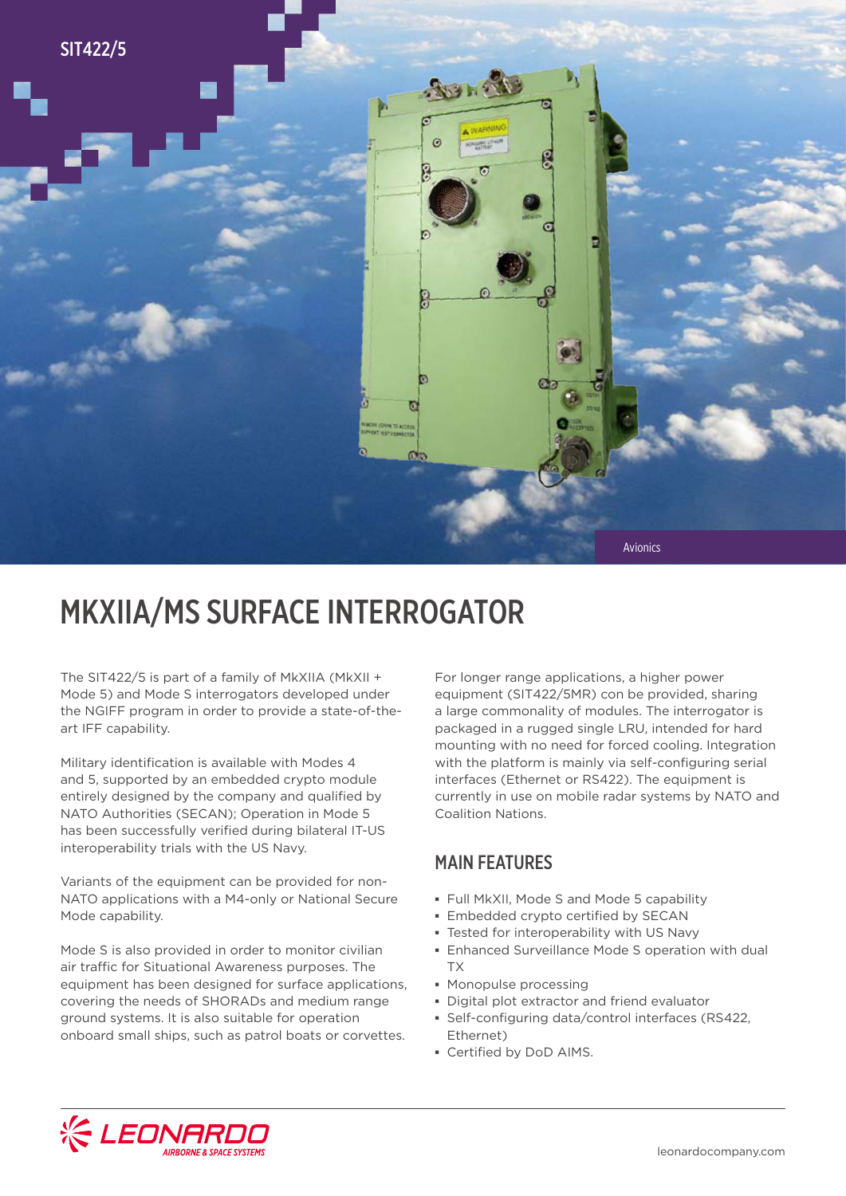

## MKXIIA/MS SURFACE INTERROGATOR

The SIT422/5 is part of a family of MkXIIA (MkXII + Mode 5) and Mode S interrogators developed under the NGIFF program in order to provide a state-of-theart IFF capability.

Military identification is available with Modes 4 and 5, supported by an embedded crypto module entirely designed by the company and qualified by NATO Authorities (SECAN); Operation in Mode 5 has been successfully verified during bilateral IT-US interoperability trials with the US Navy.

Variants of the equipment can be provided for non-NATO applications with a M4-only or National Secure Mode capability.

Mode S is also provided in order to monitor civilian air traffic for Situational Awareness purposes. The equipment has been designed for surface applications, covering the needs of SHORADs and medium range ground systems. It is also suitable for operation onboard small ships, such as patrol boats or corvettes.

For longer range applications, a higher power equipment (SIT422/5MR) con be provided, sharing a large commonality of modules. The interrogator is packaged in a rugged single LRU, intended for hard mounting with no need for forced cooling. Integration with the platform is mainly via self-configuring serial interfaces (Ethernet or RS422). The equipment is currently in use on mobile radar systems by NATO and Coalition Nations.

#### MAIN FEATURES

- **▪** Full MkXII, Mode S and Mode 5 capability
- **▪** Embedded crypto certified by SECAN
- **▪** Tested for interoperability with US Navy
- **▪** Enhanced Surveillance Mode S operation with dual TX
- **▪** Monopulse processing
- **▪** Digital plot extractor and friend evaluator
- **▪** Self-configuring data/control interfaces (RS422, Ethernet)
- **▪** Certified by DoD AIMS.